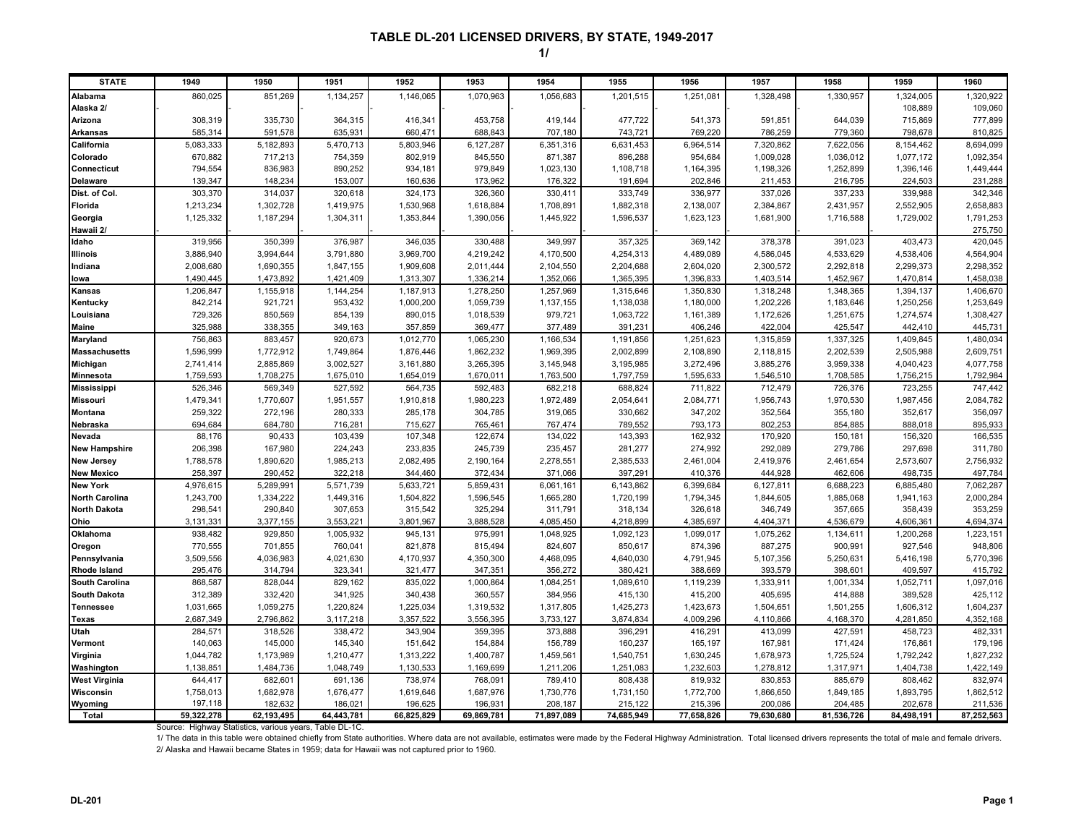#### **1/**

| <b>STATE</b>          | 1949                   | 1950                   | 1951                   | 1952                   | 1953                   | 1954                   | 1955                 | 1956                   | 1957                   | 1958                   | 1959                   | 1960                   |
|-----------------------|------------------------|------------------------|------------------------|------------------------|------------------------|------------------------|----------------------|------------------------|------------------------|------------------------|------------------------|------------------------|
| <b>Alabama</b>        | 860,025                | 851,269                | 1,134,257              | 1,146,065              | 1,070,963              | 1,056,683              | 1,201,515            | 1,251,081              | 1,328,498              | 1,330,957              | 1,324,005              | 1,320,922              |
| Alaska 2/             |                        |                        |                        |                        |                        |                        |                      |                        |                        |                        | 108,889                | 109,060                |
| Arizona               | 308,319                | 335,730                | 364,315                | 416,341                | 453,758                | 419,144                | 477,722              | 541.373                | 591,851                | 644,039                | 715,869                | 777,899                |
| <b>Arkansas</b>       | 585,314                | 591,578                | 635,931                | 660,471                | 688,843                | 707,180                | 743,721              | 769,220                | 786,259                | 779,360                | 798,678                | 810,825                |
| California            | 5,083,333              | 5,182,893              | 5,470,713              | 5,803,946              | 6,127,287              | 6,351,316              | 6,631,453            | 6,964,514              | 7,320,862              | 7,622,056              | 8,154,462              | 8,694,099              |
| Colorado              | 670,882                | 717,213                | 754,359                | 802,919                | 845,550                | 871,387                | 896,288              | 954,684                | 1,009,028              | 1,036,012              | 1,077,172              | 1,092,354              |
| Connecticut           | 794,554                | 836,983                | 890,252                | 934,181                | 979,849                | 1,023,130              | 1,108,718            | 1,164,395              | 1,198,326              | 1,252,899              | 1,396,146              | 1,449,444              |
| <b>Delaware</b>       | 139,347                | 148,234                | 153,007                | 160,636                | 173,962                | 176,322                | 191,694              | 202,846                | 211,453                | 216,795                | 224,503                | 231,288                |
| Dist. of Col.         | 303,370                | 314,037                | 320,618                | 324,173                | 326,360                | 330,411                | 333,749              | 336,977                | 337,026                | 337,233                | 339,988                | 342,346                |
| Florida               | 1,213,234              | 1,302,728              | 1,419,975              | 1,530,968              | 1,618,884              | 1,708,891              | 1,882,318            | 2,138,007              | 2,384,867              | 2,431,957              | 2,552,905              | 2,658,883              |
| Georgia               | 1,125,332              | 1,187,294              | 1,304,311              | 1,353,844              | 1,390,056              | 1,445,922              | 1,596,537            | 1,623,123              | 1,681,900              | 1,716,588              | 1,729,002              | 1,791,253              |
| Hawaii 2/             |                        |                        |                        |                        |                        |                        |                      |                        |                        |                        |                        | 275,750                |
| Idaho                 | 319,956                | 350,399                | 376,987                | 346,035                | 330,488                | 349,997                | 357,325              | 369,142                | 378,378                | 391,023                | 403,473                | 420,045                |
| Illinois              | 3,886,940              | 3,994,644              | 3,791,880              | 3,969,700              | 4,219,242              | 4,170,500              | 4,254,313            | 4,489,089              | 4,586,045              | 4,533,629              | 4,538,406              | 4,564,904              |
| Indiana               | 2,008,680              | 1,690,355              | 1,847,155              | 1,909,608              | 2,011,444              | 2,104,550              | 2,204,688            | 2,604,020              | 2,300,572              | 2,292,818              | 2,299,373              | 2,298,352              |
| lowa                  | 1,490,445              | 1,473,892              | 1,421,409              | 1,313,307              | 1,336,214              | 1,352,066              | 1,365,395            | 1,396,833              | 1,403,514              | 1,452,967              | 1,470,814              | 1,458,038              |
| Kansas                | 1,206,847              | 1,155,918              | 1,144,254              | 1,187,913              | 1,278,250              | 1,257,969              | 1,315,646            | 1,350,830              | 1,318,248              | 1,348,365              | 1,394,137              | 1,406,670              |
| Kentucky              | 842,214                | 921,721                | 953,432                | 1,000,200              | 1,059,739              | 1,137,155              | 1,138,038            | 1,180,000              | 1,202,226              | 1,183,646              | 1,250,256              | 1,253,649              |
| Louisiana             | 729,326                | 850,569                | 854,139                | 890,015                | 1,018,539              | 979,721                | 1,063,722            | 1,161,389              | 1,172,626              | 1,251,675              | 1,274,574              | 1,308,427              |
| <b>Maine</b>          | 325,988                | 338,355                | 349,163                | 357,859                | 369,477                | 377,489                | 391,231              | 406,246                | 422,004                | 425,547                | 442,410                | 445,731                |
| Maryland              | 756,863                | 883,457                | 920,673                | 1,012,770              | 1,065,230              | 1,166,534              | 1,191,856            | 1,251,623              | 1,315,859              | 1,337,325              | 1,409,845              | 1,480,034              |
| <b>Massachusetts</b>  | 1,596,999              | 1,772,912              | 1,749,864              | 1,876,446              | 1,862,232              | 1,969,395              | 2,002,899            | 2,108,890              | 2,118,815              | 2,202,539              | 2,505,988              | 2,609,751              |
| Michigan              | 2,741,414              | 2,885,869              | 3,002,527              | 3,161,880              | 3,265,395              | 3,145,948              | 3,195,985            | 3,272,496              | 3,885,276              | 3,959,338              | 4,040,423              | 4,077,758              |
| <b>Minnesota</b>      | 1,759,593              | 1,708,275              | 1,675,010              | 1,654,019              | 1,670,011              | 1,763,500              | 1,797,759            | 1,595,633              | 1,546,510              | 1,708,585              | 1,756,215              | 1,792,984              |
| <b>Mississippi</b>    | 526,346                | 569,349                | 527,592                | 564,735                | 592,483                | 682,218                | 688,824              | 711,822                | 712,479                | 726,376                | 723,255                | 747,442                |
| <b>Missouri</b>       | 1,479,341              | 1,770,607              | 1,951,557              | 1,910,818              | 1,980,223              | 1,972,489              | 2,054,641            | 2,084,771              | 1,956,743              | 1,970,530              | 1,987,456              | 2,084,782              |
| <b>Montana</b>        | 259,322                | 272,196                | 280,333                | 285,178                | 304,785                | 319,065                | 330,662              | 347,202                | 352,564                | 355,180                | 352,617                | 356,097                |
| Nebraska              | 694,684                | 684,780                | 716,281                | 715,627                | 765,461                | 767,474                | 789,552              | 793,173                | 802,253                | 854,885                | 888,018                | 895,933                |
| Nevada                | 88,176                 | 90,433                 | 103,439                | 107,348                | 122,674                | 134,022                | 143,393              | 162,932                | 170,920                | 150,181                | 156,320                | 166,535                |
| <b>New Hampshire</b>  | 206,398                | 167,980                | 224,243                | 233,835                | 245,739                | 235,457                | 281,277              | 274,992                | 292,089                | 279,786                | 297,698                | 311,780                |
| <b>New Jersey</b>     | 1,788,578              | 1,890,620              | 1,985,213              | 2,082,495              | 2,190,164              | 2,278,551              | 2,385,533            | 2,461,004              | 2,419,976              | 2,461,654              | 2,573,607              | 2,756,932              |
| <b>New Mexico</b>     | 258,397                | 290,452                | 322,218                | 344,460                | 372,434                | 371,066                | 397,291              | 410,376                | 444,928                | 462,606                | 498,735                | 497,784                |
| <b>New York</b>       | 4,976,615              | 5,289,991              | 5,571,739              | 5,633,721              | 5,859,431              | 6,061,161              | 6,143,862            | 6,399,684              | 6,127,811              | 6,688,223              | 6,885,480              | 7,062,287              |
| <b>North Carolina</b> | 1,243,700              | 1,334,222              | 1,449,316              | 1,504,822              | 1,596,545              | 1,665,280              | 1,720,199            | 1,794,345              | 1,844,605              | 1,885,068              | 1,941,163              | 2,000,284              |
| <b>North Dakota</b>   | 298,541                | 290,840                | 307,653                | 315,542                | 325,294                | 311,791                | 318,134              | 326,618                | 346,749                | 357,665                | 358,439                | 353,259                |
| Ohio                  | 3,131,331              | 3,377,155              | 3,553,221              | 3,801,967              | 3,888,528              | 4.085.450              | 4,218,899            | 4.385.697              | 4,404,371              | 4,536,679              | 4,606,361              | 4,694,374              |
| Oklahoma              | 938,482                | 929,850                | 1,005,932              | 945,131                | 975,991                | 1,048,925              | 1,092,123            | 1,099,017              | 1,075,262              | 1,134,611              | 1,200,268              | 1,223,151              |
| Oregon                | 770,555                | 701,855                | 760,041                | 821,878                | 815,494                | 824,607                | 850,617              | 874,396                | 887,275                | 900,991                | 927,546                | 948,806                |
| Pennsylvania          | 3,509,556              | 4,036,983              | 4,021,630              | 4,170,937              | 4,350,300              | 4,468,095              | 4,640,030            | 4,791,945              | 5,107,356              | 5,250,631              | 5,416,198              | 5,770,396              |
| <b>Rhode Island</b>   | 295,476                | 314,794                | 323,341                | 321,477                | 347,351                | 356,272                | 380,421              | 388,669                | 393,579                | 398,601                | 409,597                | 415,792                |
| <b>South Carolina</b> | 868,587                | 828,044                | 829,162                | 835,022                | 1,000,864              | 1,084,251              | 1,089,610            | 1,119,239              | 1,333,911              | 1,001,334              | 1,052,711              | 1,097,016              |
| <b>South Dakota</b>   | 312,389                | 332,420                | 341,925                | 340,438                | 360,557                | 384,956                | 415,130              | 415,200                | 405,695                | 414,888                | 389,528                | 425,112                |
| Tennessee             | 1,031,665<br>2,687,349 | 1,059,275<br>2,796,862 | 1,220,824              | 1,225,034<br>3,357,522 | 1,319,532<br>3,556,395 | 1,317,805<br>3,733,127 | 1,425,273            | 1,423,673<br>4,009,296 | 1,504,651<br>4,110,866 | 1,501,255<br>4,168,370 | 1,606,312<br>4,281,850 | 1,604,237<br>4,352,168 |
| Texas                 | 284,571                |                        | 3,117,218<br>338,472   | 343,904                | 359,395                |                        | 3,874,834            |                        |                        |                        | 458,723                | 482,331                |
| Utah                  | 140,063                | 318,526                |                        |                        |                        | 373,888                | 396,291              | 416,291                | 413,099                | 427,591                |                        |                        |
| Vermont<br>Virginia   | 1,044,782              | 145,000<br>1,173,989   | 145,340                | 151,642<br>1,313,222   | 154,884<br>1,400,787   | 156,789<br>1,459,561   | 160,237<br>1,540,751 | 165,197<br>1,630,245   | 167,981<br>1,678,973   | 171,424<br>1,725,524   | 176,861<br>1,792,242   | 179,196<br>1,827,232   |
| Washington            | 1,138,85               | 1,484,736              | 1,210,477<br>1,048,749 | 1,130,533              | 1,169,699              | 1,211,206              | 1,251,083            | 1,232,603              | 1,278,812              | 1,317,971              | 1,404,738              | 1,422,149              |
| <b>West Virginia</b>  | 644,417                | 682,601                |                        | 738,974                | 768,091                | 789,410                | 808,438              | 819,932                | 830,853                | 885,679                | 808,462                | 832,974                |
| Wisconsin             | 1,758,013              | 1,682,978              | 691,136<br>1,676,477   | 1,619,646              | 1,687,976              | 1,730,776              | 1,731,150            | 1,772,700              | 1,866,650              | 1,849,185              | 1,893,795              | 1,862,512              |
| Wyoming               | 197,118                | 182,632                | 186,021                | 196,625                | 196,931                | 208,187                | 215,122              | 215,396                | 200,086                | 204,485                | 202,678                | 211,536                |
| Total                 | 59,322,278             | 62,193,495             | 64,443,781             | 66,825,829             | 69,869,781             | 71,897,089             | 74,685,949           | 77,658,826             | 79,630,680             | 81,536,726             | 84,498,191             | 87,252,563             |

Source: Highway Statistics, various years, Table DL-1C.

2/ Alaska and Hawaii became States in 1959; data for Hawaii was not captured prior to 1960. 1/ The data in this table were obtained chiefly from State authorities. Where data are not available, estimates were made by the Federal Highway Administration. Total licensed drivers represents the total of male and femal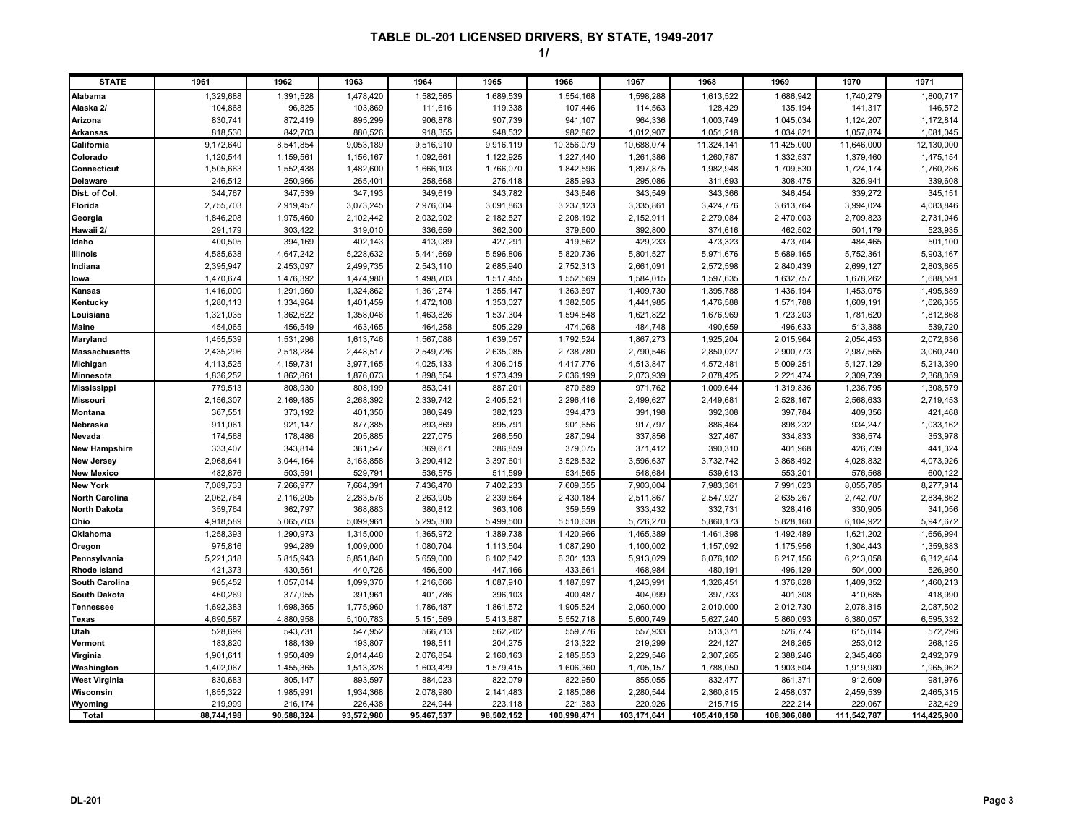| <b>STATE</b>                 | 1961                 | 1962                 | 1963                 | 1964                 | 1965                 | 1966                 | 1967                 | 1968                 | 1969                 | 1970                 | 1971                 |
|------------------------------|----------------------|----------------------|----------------------|----------------------|----------------------|----------------------|----------------------|----------------------|----------------------|----------------------|----------------------|
| Alabama                      | 1,329,688            | 1,391,528            | 1,478,420            | 1,582,565            | 1,689,539            | 1,554,168            | 1,598,288            | 1,613,522            | 1,686,942            | 1,740,279            | 1,800,717            |
| Alaska 2/                    | 104,868              | 96,825               | 103,869              | 111,616              | 119,338              | 107,446              | 114,563              | 128,429              | 135,194              | 141,317              | 146,572              |
| Arizona                      | 830,741              | 872,419              | 895,299              | 906,878              | 907,739              | 941,107              | 964,336              | 1,003,749            | 1,045,034            | 1,124,207            | 1,172,814            |
| <b>Arkansas</b>              | 818,530              | 842,703              | 880,526              | 918,355              | 948,532              | 982,862              | 1,012,907            | 1,051,218            | 1,034,821            | 1,057,874            | 1,081,045            |
| California                   | 9,172,640            | 8,541,854            | 9,053,189            | 9,516,910            | 9,916,119            | 10,356,079           | 10,688,074           | 11,324,141           | 11,425,000           | 11,646,000           | 12,130,000           |
| Colorado                     | 1,120,544            | 1,159,561            | 1,156,167            | 1,092,661            | 1,122,925            | 1,227,440            | 1,261,386            | 1,260,787            | 1,332,537            | 1,379,460            | 1,475,154            |
| Connecticut                  | 1,505,663            | 1,552,438            | 1,482,600            | 1,666,103            | 1,766,070            | 1,842,596            | 1,897,875            | 1,982,948            | 1,709,530            | 1,724,174            | 1,760,286            |
| <b>Delaware</b>              | 246,512              | 250,966              | 265,401              | 258,668              | 276,418              | 285,993              | 295,086              | 311,693              | 308,475              | 326,941              | 339,608              |
| Dist. of Col.                | 344,767              | 347,539              | 347,193              | 349,619              | 343,782              | 343,646              | 343,549              | 343,366              | 346,454              | 339,272              | 345,151              |
| Florida                      | 2,755,703            | 2,919,457            | 3,073,245            | 2,976,004            | 3,091,863            | 3,237,123            | 3,335,861            | 3,424,776            | 3,613,764            | 3,994,024            | 4,083,846            |
| Georgia                      | 1,846,208            | 1,975,460            | 2,102,442            | 2,032,902            | 2,182,527            | 2,208,192            | 2,152,911            | 2,279,084            | 2,470,003            | 2,709,823            | 2,731,046            |
| Hawaii 2/                    | 291,179              | 303,422              | 319,010              | 336,659              | 362,300              | 379,600              | 392,800              | 374,616              | 462,502              | 501,179              | 523,935              |
| Idaho                        | 400,505              | 394,169              | 402,143              | 413,089              | 427,291              | 419,562              | 429,233              | 473,323              | 473,704              | 484,465              | 501,100              |
| Illinois                     | 4,585,638            | 4,647,242            | 5,228,632            | 5,441,669            | 5,596,806            | 5,820,736            | 5,801,527            | 5,971,676            | 5,689,165            | 5,752,361            | 5,903,167            |
| Indiana                      | 2,395,947            | 2,453,097            | 2,499,735            | 2,543,110            | 2,685,940            | 2,752,313            | 2,661,091            | 2,572,598            | 2,840,439            | 2,699,127            | 2,803,665            |
| lowa                         | 1,470,674            | 1,476,392            | 1,474,980            | 1,498,703            | 1,517,455            | 1,552,569            | 1,584,015            | 1,597,635            | 1,632,757            | 1,678,262            | 1,688,591            |
| Kansas                       | 1,416,000            | 1,291,960            | 1,324,862            | 1,361,274            | 1,355,147            | 1,363,697            | 1,409,730            | 1,395,788            | 1,436,194            | 1,453,075            | 1,495,889            |
| Kentucky                     | 1,280,113            | 1,334,964            | 1,401,459            | 1,472,108            | 1,353,027            | 1,382,505            | 1,441,985            | 1,476,588            | 1,571,788            | 1,609,191            | 1,626,355            |
| Louisiana                    | 1,321,035            | 1,362,622            | 1,358,046            | 1,463,826            | 1,537,304            | 1,594,848            | 1,621,822            | 1,676,969            | 1,723,203            | 1,781,620            | 1,812,868            |
| Maine                        | 454,065              | 456,549              | 463,465              | 464,258              | 505,229              | 474,068              | 484,748              | 490,659              | 496,633              | 513,388              | 539,720              |
| Maryland                     | 1,455,539            | 1,531,296            | 1,613,746            | 1,567,088            | 1,639,057            | 1,792,524            | 1,867,273            | 1,925,204            | 2,015,964            | 2,054,453            | 2,072,636            |
| <b>Massachusetts</b>         | 2,435,296            | 2,518,284            | 2,448,517            | 2,549,726            | 2,635,085            | 2,738,780            | 2,790,546            | 2,850,027            | 2,900,773            | 2,987,565            | 3,060,240            |
| Michigan                     | 4,113,525            | 4,159,731            | 3,977,165            | 4,025,133            | 4,306,015            | 4,417,776            | 4,513,847            | 4,572,481            | 5,009,251            | 5,127,129            | 5,213,390            |
| Minnesota                    | 1,836,252            | 1,862,861            | 1,876,073            | 1,898,554            | 1,973,439            | 2,036,199            | 2,073,939            | 2,078,425            | 2,221,474            | 2,309,739            | 2,368,059            |
| <b>Mississippi</b>           | 779,513              | 808,930              | 808,199              | 853,041              | 887,201              | 870,689              | 971,762              | 1,009,644            | 1,319,836            | 1,236,795            | 1,308,579            |
| <b>Missouri</b>              | 2,156,307            | 2,169,485            | 2,268,392            | 2,339,742            | 2,405,521            | 2,296,416            | 2,499,627            | 2,449,681            | 2,528,167            | 2,568,633            | 2,719,453            |
| Montana                      | 367,551              | 373,192              | 401,350              | 380,949              | 382,123              | 394,473              | 391,198              | 392,308              | 397,784              | 409,356              | 421,468              |
| Nebraska                     | 911,061              | 921,147              | 877,385              | 893,869              | 895,791              | 901,656              | 917,797              | 886,464              | 898,232              | 934,247              | 1,033,162            |
| Nevada                       | 174,568              | 178,486              | 205,885              | 227,075              | 266,550              | 287,094              | 337,856              | 327,467              | 334,833              | 336,574              | 353,978              |
| <b>New Hampshire</b>         | 333,407              | 343,814              | 361,547              | 369,671              | 386,859              | 379,075              | 371,412              | 390,310              | 401,968              | 426,739              | 441,324              |
| <b>New Jersey</b>            | 2,968,641            | 3,044,164            | 3,168,858            | 3,290,412            | 3,397,601            | 3,528,532            | 3,596,637            | 3,732,742            | 3,868,492            | 4,028,832            | 4,073,926            |
| <b>New Mexico</b>            | 482,876              | 503,591              | 529,791              | 536,575              | 511,599              | 534,565              | 548,684              | 539,613              | 553,201              | 576,568              | 600,122              |
| <b>New York</b>              | 7,089,733            | 7,266,977            | 7,664,391            | 7,436,470            | 7,402,233            | 7,609,355            | 7,903,004            | 7,983,361            | 7,991,023            | 8,055,785            | 8,277,914            |
| <b>North Carolina</b>        | 2,062,764            | 2,116,205            | 2,283,576            | 2,263,905            | 2,339,864            | 2,430,184            | 2,511,867            | 2,547,927            | 2,635,267            | 2,742,707            | 2,834,862            |
| <b>North Dakota</b>          | 359,764              | 362,797              | 368,883              | 380,812              | 363,106              | 359,559              | 333,432              | 332,731              | 328,416              | 330,905              | 341,056              |
| Ohio                         | 4,918,589            | 5,065,703            | 5,099,961            | 5,295,300            | 5,499,500            | 5,510,638            | 5,726,270            | 5,860,173            | 5,828,160            | 6,104,922            | 5,947,672            |
| Oklahoma                     | 1,258,393            | 1,290,973            | 1,315,000            | 1,365,972            | 1,389,738            | 1,420,966            | 1,465,389            | 1,461,398            | 1,492,489            | 1,621,202            | 1,656,994            |
| Oregon                       | 975,816              | 994,289              | 1,009,000            | 1,080,704            | 1,113,504            | 1,087,290            | 1,100,002            | 1,157,092            | 1,175,956            | 1,304,443            | 1,359,883            |
| Pennsylvania<br>Rhode Island | 5,221,318<br>421,373 | 5,815,943<br>430,561 | 5,851,840<br>440,726 | 5,659,000<br>456,600 | 6,102,642<br>447,166 | 6,301,133<br>433,661 | 5,913,029<br>468,984 | 6,076,102<br>480,191 | 6,217,156<br>496,129 | 6,213,058<br>504,000 | 6,312,484<br>526,950 |
| <b>South Carolina</b>        | 965,452              | 1,057,014            | 1,099,370            | 1,216,666            | 1,087,910            | 1,187,897            | 1,243,991            | 1,326,451            | 1,376,828            | 1,409,352            | 1,460,213            |
| <b>South Dakota</b>          | 460,269              | 377,055              | 391,961              | 401,786              | 396,103              | 400,487              | 404,099              | 397,733              | 401,308              | 410,685              | 418,990              |
| <b>Tennessee</b>             | 1,692,383            | 1,698,365            | 1,775,960            | 1,786,487            | 1,861,572            | 1,905,524            | 2,060,000            | 2,010,000            | 2,012,730            | 2,078,315            | 2,087,502            |
| Texas                        | 4,690,587            | 4,880,958            | 5,100,783            | 5,151,569            | 5,413,887            | 5,552,718            | 5,600,749            | 5,627,240            | 5,860,093            | 6,380,057            | 6,595,332            |
| Utah                         | 528,699              | 543,731              | 547,952              | 566,713              | 562,202              | 559,776              | 557,933              | 513,371              | 526,774              | 615,014              | 572,296              |
| Vermont                      | 183,820              | 188,439              | 193,807              | 198,511              | 204,275              | 213,322              | 219,299              | 224,127              | 246,265              | 253,012              | 268,125              |
| Virginia                     | 1,901,611            | 1,950,489            | 2,014,448            | 2,076,854            | 2,160,163            | 2,185,853            | 2,229,546            | 2,307,265            | 2,388,246            | 2,345,466            | 2,492,079            |
| Washington                   | 1,402,067            | 1,455,365            | 1,513,328            | 1,603,429            | 1,579,415            | 1,606,360            | 1,705,157            | 1,788,050            | 1,903,504            | 1,919,980            | 1,965,962            |
| <b>West Virginia</b>         | 830,683              | 805,147              | 893,597              | 884,023              | 822,079              | 822,950              | 855,055              | 832,477              | 861,371              | 912,609              | 981,976              |
| Wisconsin                    | 1,855,322            | 1,985,991            | 1,934,368            | 2,078,980            | 2,141,483            | 2,185,086            | 2,280,544            | 2,360,815            | 2,458,037            | 2,459,539            | 2,465,315            |
| Wyoming                      | 219,999              | 216.174              | 226,438              | 224,944              | 223,118              | 221,383              | 220,926              | 215,715              | 222,214              | 229,067              | 232,429              |
| Total                        | 88,744,198           | 90,588,324           | 93,572,980           | 95,467,537           | 98,502,152           | 100,998,471          | 103,171,641          | 105,410,150          | 108,306,080          | 111,542,787          | 114,425,900          |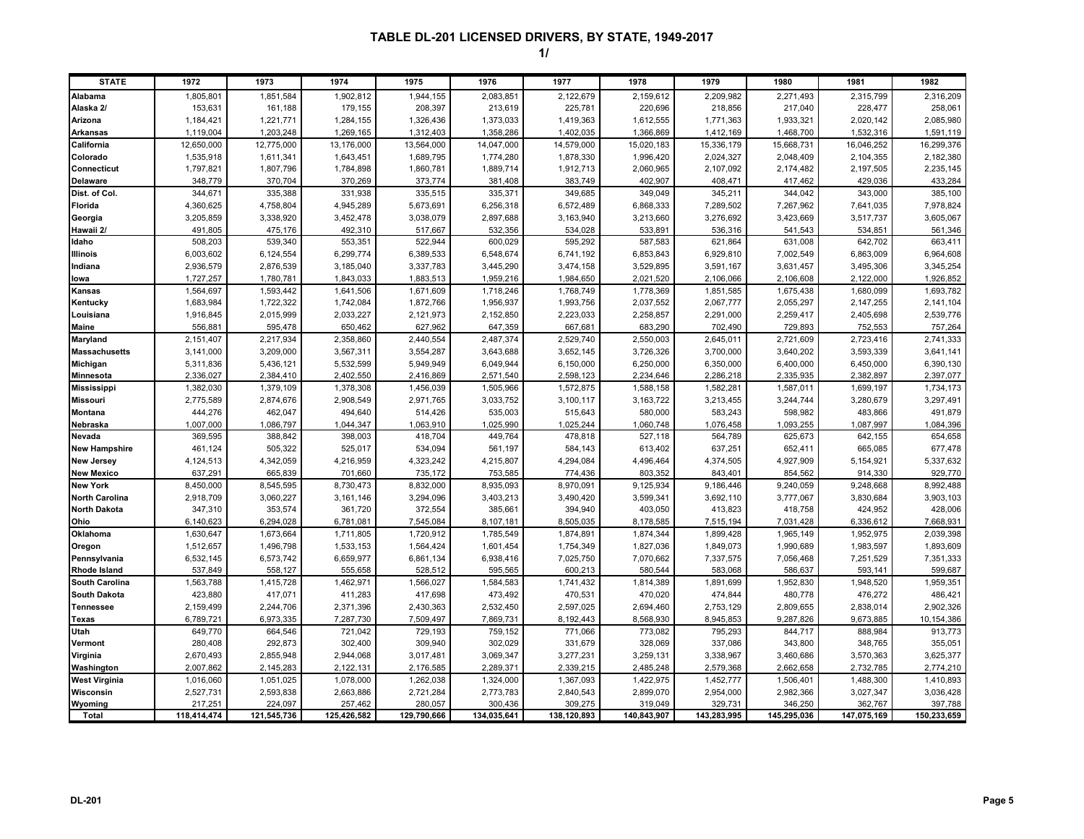| <b>STATE</b>          | 1972        | 1973        | 1974        | 1975        | 1976        | 1977        | 1978        | 1979        | 1980        | 1981        | 1982        |
|-----------------------|-------------|-------------|-------------|-------------|-------------|-------------|-------------|-------------|-------------|-------------|-------------|
| Alabama               | 1,805,801   | 1,851,584   | 1,902,812   | 1,944,155   | 2,083,851   | 2,122,679   | 2,159,612   | 2,209,982   | 2,271,493   | 2,315,799   | 2,316,209   |
| Alaska 2/             | 153,631     | 161,188     | 179,155     | 208,397     | 213,619     | 225,781     | 220,696     | 218,856     | 217,040     | 228,477     | 258,061     |
| Arizona               | 1,184,421   | 1,221,771   | 1,284,155   | 1,326,436   | 1,373,033   | 1,419,363   | 1,612,555   | 1,771,363   | 1,933,321   | 2,020,142   | 2,085,980   |
| <b>Arkansas</b>       | 1,119,004   | 1,203,248   | 1,269,165   | 1,312,403   | 1,358,286   | 1,402,035   | 1,366,869   | 1,412,169   | 1,468,700   | 1,532,316   | 1,591,119   |
| California            | 12,650,000  | 12,775,000  | 13,176,000  | 13,564,000  | 14,047,000  | 14,579,000  | 15,020,183  | 15,336,179  | 15,668,731  | 16,046,252  | 16,299,376  |
| Colorado              | 1,535,918   | 1,611,341   | 1,643,451   | 1,689,795   | 1,774,280   | 1,878,330   | 1,996,420   | 2,024,327   | 2,048,409   | 2,104,355   | 2,182,380   |
| Connecticut           | 1,797,821   | 1,807,796   | 1,784,898   | 1,860,781   | 1,889,714   | 1,912,713   | 2,060,965   | 2,107,092   | 2,174,482   | 2,197,505   | 2,235,145   |
| <b>Delaware</b>       | 348,779     | 370,704     | 370,269     | 373,774     | 381,408     | 383,749     | 402,907     | 408,471     | 417,462     | 429,036     | 433,284     |
| Dist. of Col.         | 344,671     | 335,388     | 331,938     | 335,515     | 335,371     | 349,685     | 349,049     | 345,211     | 344,042     | 343,000     | 385,100     |
| Florida               | 4,360,625   | 4,758,804   | 4,945,289   | 5,673,691   | 6,256,318   | 6,572,489   | 6,868,333   | 7,289,502   | 7,267,962   | 7,641,035   | 7,978,824   |
| Georgia               | 3,205,859   | 3,338,920   | 3,452,478   | 3,038,079   | 2,897,688   | 3,163,940   | 3,213,660   | 3,276,692   | 3,423,669   | 3,517,737   | 3,605,067   |
| Hawaii 2/             | 491,805     | 475,176     | 492,310     | 517,667     | 532,356     | 534,028     | 533,891     | 536,316     | 541,543     | 534,851     | 561,346     |
| Idaho                 | 508,203     | 539,340     | 553,351     | 522,944     | 600,029     | 595,292     | 587,583     | 621,864     | 631,008     | 642,702     | 663,411     |
| Illinois              | 6,003,602   | 6,124,554   | 6,299,774   | 6,389,533   | 6,548,674   | 6,741,192   | 6,853,843   | 6,929,810   | 7,002,549   | 6,863,009   | 6,964,608   |
| Indiana               | 2,936,579   | 2,876,539   | 3,185,040   | 3,337,783   | 3,445,290   | 3,474,158   | 3,529,895   | 3,591,167   | 3,631,457   | 3,495,306   | 3,345,254   |
| lowa                  | 1,727,257   | 1,780,781   | 1,843,033   | 1,883,513   | 1,959,216   | 1,984,650   | 2,021,520   | 2,106,066   | 2,106,608   | 2,122,000   | 1,926,852   |
| Kansas                | 1,564,697   | 1,593,442   | 1,641,506   | 1,671,609   | 1,718,246   | 1,768,749   | 1,778,369   | 1,851,585   | 1,675,438   | 1,680,099   | 1,693,782   |
| Kentucky              | 1,683,984   | 1,722,322   | 1,742,084   | 1,872,766   | 1,956,937   | 1,993,756   | 2,037,552   | 2,067,777   | 2,055,297   | 2,147,255   | 2,141,104   |
| Louisiana             | 1,916,845   | 2,015,999   | 2,033,227   | 2,121,973   | 2,152,850   | 2,223,033   | 2,258,857   | 2,291,000   | 2,259,417   | 2,405,698   | 2,539,776   |
| Maine                 | 556,881     | 595,478     | 650,462     | 627,962     | 647,359     | 667,681     | 683,290     | 702,490     | 729,893     | 752,553     | 757,264     |
| Maryland              | 2,151,407   | 2,217,934   | 2,358,860   | 2,440,554   | 2,487,374   | 2,529,740   | 2,550,003   | 2,645,011   | 2,721,609   | 2,723,416   | 2,741,333   |
| <b>Massachusetts</b>  | 3,141,000   | 3,209,000   | 3,567,311   | 3,554,287   | 3,643,688   | 3,652,145   | 3,726,326   | 3,700,000   | 3,640,202   | 3,593,339   | 3,641,141   |
| Michigan              | 5,311,836   | 5,436,121   | 5,532,599   | 5,949,949   | 6,049,944   | 6,150,000   | 6,250,000   | 6,350,000   | 6,400,000   | 6,450,000   | 6,390,130   |
| Minnesota             | 2,336,027   | 2,384,410   | 2,402,550   | 2,416,869   | 2,571,540   | 2,598,123   | 2,234,646   | 2,286,218   | 2,335,935   | 2,382,897   | 2,397,077   |
| <b>Mississippi</b>    | 1,382,030   | 1,379,109   | 1,378,308   | 1,456,039   | 1,505,966   | 1,572,875   | 1,588,158   | 1,582,281   | 1,587,011   | 1,699,197   | 1,734,173   |
| Missouri              | 2,775,589   | 2,874,676   | 2,908,549   | 2,971,765   | 3,033,752   | 3,100,117   | 3, 163, 722 | 3,213,455   | 3,244,744   | 3,280,679   | 3,297,491   |
| Montana               | 444,276     | 462,047     | 494,640     | 514,426     | 535,003     | 515,643     | 580,000     | 583,243     | 598,982     | 483,866     | 491,879     |
| Nebraska              | 1,007,000   | 1,086,797   | 1,044,347   | 1,063,910   | 1,025,990   | 1,025,244   | 1,060,748   | 1,076,458   | 1,093,255   | 1,087,997   | 1,084,396   |
| Nevada                | 369,595     | 388,842     | 398,003     | 418,704     | 449,764     | 478,818     | 527,118     | 564,789     | 625,673     | 642,155     | 654,658     |
| <b>New Hampshire</b>  | 461,124     | 505,322     | 525,017     | 534,094     | 561,197     | 584,143     | 613,402     | 637,251     | 652,411     | 665,085     | 677,478     |
| <b>New Jersey</b>     | 4,124,513   | 4,342,059   | 4,216,959   | 4,323,242   | 4,215,807   | 4,294,084   | 4,496,464   | 4,374,505   | 4,927,909   | 5,154,921   | 5,337,632   |
| <b>New Mexico</b>     | 637,29      | 665,839     | 701,660     | 735,172     | 753,585     | 774,436     | 803,352     | 843,401     | 854,562     | 914,330     | 929,770     |
| <b>New York</b>       | 8,450,000   | 8,545,595   | 8,730,473   | 8,832,000   | 8,935,093   | 8,970,091   | 9,125,934   | 9,186,446   | 9,240,059   | 9,248,668   | 8,992,488   |
| <b>North Carolina</b> | 2,918,709   | 3,060,227   | 3,161,146   | 3,294,096   | 3,403,213   | 3,490,420   | 3,599,341   | 3,692,110   | 3,777,067   | 3,830,684   | 3,903,103   |
| <b>North Dakota</b>   | 347,310     | 353,574     | 361,720     | 372,554     | 385,661     | 394,940     | 403,050     | 413,823     | 418,758     | 424,952     | 428,006     |
| Ohio                  | 6,140,623   | 6,294,028   | 6,781,081   | 7,545,084   | 8,107,181   | 8,505,035   | 8,178,585   | 7,515,194   | 7,031,428   | 6,336,612   | 7,668,931   |
| Oklahoma              | 1,630,647   | 1,673,664   | 1,711,805   | 1,720,912   | 1,785,549   | 1,874,891   | 1,874,344   | 1,899,428   | 1,965,149   | 1,952,975   | 2,039,398   |
| Oregon                | 1,512,657   | 1,496,798   | 1,533,153   | 1,564,424   | 1,601,454   | 1,754,349   | 1,827,036   | 1,849,073   | 1,990,689   | 1,983,597   | 1,893,609   |
| Pennsylvania          | 6,532,145   | 6,573,742   | 6,659,977   | 6,861,134   | 6,938,416   | 7,025,750   | 7,070,662   | 7,337,575   | 7,056,468   | 7,251,529   | 7,351,333   |
| <b>Rhode Island</b>   | 537,849     | 558,127     | 555,658     | 528,512     | 595,565     | 600,213     | 580,544     | 583,068     | 586,637     | 593,141     | 599,687     |
| <b>South Carolina</b> | 1,563,788   | 1,415,728   | 1,462,971   | 1,566,027   | 1,584,583   | 1,741,432   | 1,814,389   | 1,891,699   | 1,952,830   | 1,948,520   | 1,959,351   |
| South Dakota          | 423,880     | 417,071     | 411,283     | 417,698     | 473,492     | 470,531     | 470,020     | 474,844     | 480,778     | 476,272     | 486,421     |
| <b>Tennessee</b>      | 2,159,499   | 2,244,706   | 2,371,396   | 2,430,363   | 2,532,450   | 2,597,025   | 2,694,460   | 2,753,129   | 2,809,655   | 2,838,014   | 2,902,326   |
| Texas                 | 6,789,721   | 6,973,335   | 7,287,730   | 7,509,497   | 7,869,731   | 8,192,443   | 8,568,930   | 8,945,853   | 9,287,826   | 9,673,885   | 10,154,386  |
| Utah                  | 649,770     | 664,546     | 721,042     | 729,193     | 759,152     | 771,066     | 773,082     | 795,293     | 844,717     | 888,984     | 913,773     |
| Vermont               | 280,408     | 292,873     | 302,400     | 309,940     | 302,029     | 331,679     | 328,069     | 337,086     | 343,800     | 348,765     | 355,051     |
| Virginia              | 2,670,493   | 2,855,948   | 2,944,068   | 3,017,481   | 3,069,347   | 3,277,231   | 3,259,131   | 3,338,967   | 3,460,686   | 3,570,363   | 3,625,377   |
| Washington            | 2,007,862   | 2,145,283   | 2,122,131   | 2,176,585   | 2,289,371   | 2,339,215   | 2,485,248   | 2,579,368   | 2,662,658   | 2,732,785   | 2,774,210   |
| <b>West Virginia</b>  | 1,016,060   | 1,051,025   | 1,078,000   | 1,262,038   | 1,324,000   | 1,367,093   | 1,422,975   | 1,452,777   | 1,506,401   | 1,488,300   | 1,410,893   |
| Wisconsin             | 2,527,731   | 2,593,838   | 2,663,886   | 2,721,284   | 2,773,783   | 2,840,543   | 2,899,070   | 2,954,000   | 2,982,366   | 3,027,347   | 3,036,428   |
| Wyoming               | 217,251     | 224,097     | 257,462     | 280,057     | 300,436     | 309,275     | 319,049     | 329,731     | 346,250     | 362,767     | 397,788     |
| Total                 | 118,414,474 | 121,545,736 | 125,426,582 | 129,790,666 | 134,035,641 | 138,120,893 | 140,843,907 | 143,283,995 | 145,295,036 | 147,075,169 | 150,233,659 |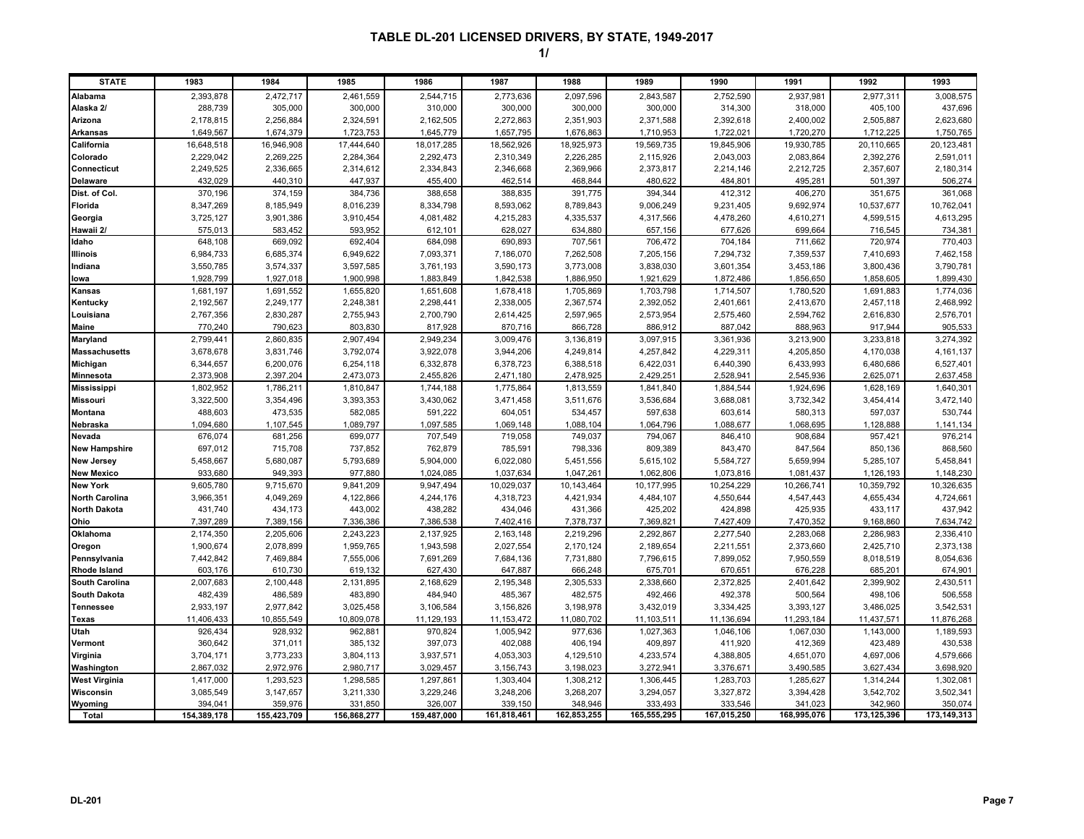| <b>STATE</b>          | 1983        | 1984        | 1985        | 1986        | 1987        | 1988        | 1989        | 1990        | 1991        | 1992        | 1993        |
|-----------------------|-------------|-------------|-------------|-------------|-------------|-------------|-------------|-------------|-------------|-------------|-------------|
| Alabama               | 2,393,878   | 2,472,717   | 2,461,559   | 2,544,715   | 2,773,636   | 2,097,596   | 2,843,587   | 2,752,590   | 2,937,981   | 2,977,311   | 3,008,575   |
| Alaska 2/             | 288,739     | 305,000     | 300,000     | 310,000     | 300,000     | 300,000     | 300,000     | 314,300     | 318,000     | 405,100     | 437,696     |
| Arizona               | 2,178,815   | 2,256,884   | 2,324,591   | 2,162,505   | 2,272,863   | 2,351,903   | 2,371,588   | 2,392,618   | 2,400,002   | 2,505,887   | 2,623,680   |
| <b>Arkansas</b>       | 1,649,567   | 1,674,379   | 1,723,753   | 1,645,779   | 1,657,795   | 1,676,863   | 1,710,953   | 1,722,021   | 1,720,270   | 1,712,225   | 1,750,765   |
| California            | 16,648,518  | 16,946,908  | 17,444,640  | 18,017,285  | 18,562,926  | 18,925,973  | 19,569,735  | 19,845,906  | 19,930,785  | 20,110,665  | 20,123,481  |
| Colorado              | 2,229,042   | 2,269,225   | 2,284,364   | 2,292,473   | 2,310,349   | 2,226,285   | 2,115,926   | 2,043,003   | 2,083,864   | 2,392,276   | 2,591,011   |
| Connecticut           | 2,249,525   | 2,336,665   | 2,314,612   | 2,334,843   | 2,346,668   | 2,369,966   | 2,373,817   | 2,214,146   | 2,212,725   | 2,357,607   | 2,180,314   |
| <b>Delaware</b>       | 432,029     | 440,310     | 447,937     | 455,400     | 462,514     | 468,844     | 480,622     | 484,801     | 495,281     | 501,397     | 506,274     |
| Dist. of Col.         | 370,196     | 374,159     | 384,736     | 388,658     | 388,835     | 391,775     | 394,344     | 412,312     | 406,270     | 351,675     | 361,068     |
| Florida               | 8,347,269   | 8,185,949   | 8,016,239   | 8,334,798   | 8,593,062   | 8,789,843   | 9,006,249   | 9,231,405   | 9,692,974   | 10,537,677  | 10,762,041  |
| Georgia               | 3,725,127   | 3,901,386   | 3,910,454   | 4,081,482   | 4,215,283   | 4,335,537   | 4,317,566   | 4,478,260   | 4,610,271   | 4,599,515   | 4,613,295   |
| Hawaii 2/             | 575,013     | 583,452     | 593,952     | 612,101     | 628,027     | 634,880     | 657,156     | 677,626     | 699,664     | 716,545     | 734,381     |
| Idaho                 | 648,108     | 669,092     | 692,404     | 684,098     | 690,893     | 707,561     | 706,472     | 704,184     | 711,662     | 720,974     | 770,403     |
| Illinois              | 6,984,733   | 6,685,374   | 6,949,622   | 7,093,371   | 7,186,070   | 7,262,508   | 7,205,156   | 7,294,732   | 7,359,537   | 7,410,693   | 7,462,158   |
| Indiana               | 3,550,785   | 3,574,337   | 3,597,585   | 3,761,193   | 3,590,173   | 3,773,008   | 3,838,030   | 3,601,354   | 3,453,186   | 3,800,436   | 3,790,781   |
| lowa                  | 1,928,799   | 1,927,018   | 1,900,998   | 1,883,849   | 1,842,538   | 1,886,950   | 1,921,629   | 1,872,486   | 1,856,650   | 1,858,605   | 1,899,430   |
| Kansas                | 1,681,197   | 1,691,552   | 1,655,820   | 1,651,608   | 1,678,418   | 1,705,869   | 1,703,798   | 1,714,507   | 1,780,520   | 1,691,883   | 1,774,036   |
| Kentucky              | 2,192,567   | 2,249,177   | 2,248,381   | 2,298,441   | 2,338,005   | 2,367,574   | 2,392,052   | 2,401,661   | 2,413,670   | 2,457,118   | 2,468,992   |
| Louisiana             | 2,767,356   | 2,830,287   | 2,755,943   | 2,700,790   | 2,614,425   | 2,597,965   | 2,573,954   | 2,575,460   | 2,594,762   | 2,616,830   | 2,576,701   |
| <b>Maine</b>          | 770,240     | 790,623     | 803,830     | 817,928     | 870,716     | 866,728     | 886,912     | 887,042     | 888,963     | 917,944     | 905,533     |
| Maryland              | 2,799,441   | 2,860,835   | 2,907,494   | 2,949,234   | 3,009,476   | 3,136,819   | 3,097,915   | 3,361,936   | 3,213,900   | 3,233,818   | 3,274,392   |
| <b>Massachusetts</b>  | 3,678,678   | 3,831,746   | 3,792,074   | 3,922,078   | 3,944,206   | 4,249,814   | 4,257,842   | 4,229,311   | 4,205,850   | 4,170,038   | 4,161,137   |
| Michigan              | 6,344,657   | 6,200,076   | 6,254,118   | 6,332,878   | 6,378,723   | 6,388,518   | 6,422,031   | 6,440,390   | 6,433,993   | 6,480,686   | 6,527,401   |
| Minnesota             | 2,373,908   | 2,397,204   | 2,473,073   | 2,455,826   | 2,471,180   | 2,478,925   | 2,429,251   | 2,528,941   | 2,545,936   | 2,625,071   | 2,637,458   |
| <b>Mississippi</b>    | 1,802,952   | 1,786,211   | 1,810,847   | 1,744,188   | 1,775,864   | 1,813,559   | 1,841,840   | 1,884,544   | 1,924,696   | 1,628,169   | 1,640,301   |
| <b>Missouri</b>       | 3,322,500   | 3,354,496   | 3,393,353   | 3,430,062   | 3,471,458   | 3,511,676   | 3,536,684   | 3,688,081   | 3,732,342   | 3,454,414   | 3,472,140   |
| Montana               | 488,603     | 473,535     | 582,085     | 591,222     | 604,051     | 534,457     | 597,638     | 603,614     | 580,313     | 597,037     | 530,744     |
| Nebraska              | 1,094,680   | 1,107,545   | 1,089,797   | 1,097,585   | 1,069,148   | 1,088,104   | 1,064,796   | 1,088,677   | 1,068,695   | 1,128,888   | 1,141,134   |
| Nevada                | 676,074     | 681,256     | 699,077     | 707,549     | 719,058     | 749,037     | 794,067     | 846,410     | 908,684     | 957,421     | 976,214     |
| <b>New Hampshire</b>  | 697,012     | 715,708     | 737,852     | 762,879     | 785,591     | 798,336     | 809,389     | 843,470     | 847,564     | 850,136     | 868,560     |
| <b>New Jersey</b>     | 5,458,667   | 5,680,087   | 5,793,689   | 5,904,000   | 6,022,080   | 5,451,556   | 5,615,102   | 5,584,727   | 5,659,994   | 5,285,107   | 5,458,841   |
| <b>New Mexico</b>     | 933,680     | 949,393     | 977,880     | 1,024,085   | 1,037,634   | 1,047,261   | 1,062,806   | 1,073,816   | 1,081,437   | 1,126,193   | 1,148,230   |
| <b>New York</b>       | 9,605,780   | 9,715,670   | 9,841,209   | 9,947,494   | 10,029,037  | 10,143,464  | 10,177,995  | 10,254,229  | 10,266,741  | 10,359,792  | 10,326,635  |
| <b>North Carolina</b> | 3,966,351   | 4,049,269   | 4,122,866   | 4,244,176   | 4,318,723   | 4,421,934   | 4,484,107   | 4,550,644   | 4,547,443   | 4,655,434   | 4,724,661   |
| <b>North Dakota</b>   | 431,740     | 434,173     | 443,002     | 438,282     | 434,046     | 431,366     | 425,202     | 424,898     | 425,935     | 433,117     | 437,942     |
| Ohio                  | 7,397,289   | 7,389,156   | 7,336,386   | 7,386,538   | 7,402,416   | 7,378,737   | 7,369,821   | 7,427,409   | 7,470,352   | 9,168,860   | 7,634,742   |
| Oklahoma              | 2,174,350   | 2,205,606   | 2,243,223   | 2,137,925   | 2,163,148   | 2,219,296   | 2,292,867   | 2,277,540   | 2,283,068   | 2,286,983   | 2,336,410   |
| Oregon                | 1,900,674   | 2,078,899   | 1,959,765   | 1,943,598   | 2,027,554   | 2,170,124   | 2,189,654   | 2,211,551   | 2,373,660   | 2,425,710   | 2,373,138   |
| Pennsylvania          | 7,442,842   | 7,469,884   | 7,555,006   | 7,691,269   | 7,684,136   | 7,731,880   | 7,796,615   | 7,899,052   | 7,950,559   | 8,018,519   | 8,054,636   |
| Rhode Island          | 603,176     | 610,730     | 619,132     | 627,430     | 647,887     | 666,248     | 675,701     | 670,651     | 676,228     | 685,201     | 674,901     |
| South Carolina        | 2,007,683   | 2,100,448   | 2,131,895   | 2,168,629   | 2,195,348   | 2,305,533   | 2,338,660   | 2,372,825   | 2,401,642   | 2,399,902   | 2,430,511   |
| <b>South Dakota</b>   | 482,439     | 486,589     | 483,890     | 484,940     | 485,367     | 482,575     | 492,466     | 492,378     | 500,564     | 498,106     | 506,558     |
| <b>Tennessee</b>      | 2,933,197   | 2,977,842   | 3,025,458   | 3,106,584   | 3,156,826   | 3,198,978   | 3,432,019   | 3,334,425   | 3,393,127   | 3,486,025   | 3,542,531   |
| Texas                 | 11,406,433  | 10,855,549  | 10,809,078  | 11,129,193  | 11,153,472  | 11,080,702  | 11,103,511  | 11,136,694  | 11,293,184  | 11,437,57   | 11,876,268  |
| Utah                  | 926,434     | 928,932     | 962,881     | 970,824     | 1,005,942   | 977,636     | 1,027,363   | 1,046,106   | 1,067,030   | 1,143,000   | 1,189,593   |
| Vermont               | 360,642     | 371,011     | 385,132     | 397,073     | 402,088     | 406,194     | 409,897     | 411,920     | 412,369     | 423,489     | 430,538     |
| Virginia              | 3,704,171   | 3,773,233   | 3,804,113   | 3,937,571   | 4,053,303   | 4,129,510   | 4,233,574   | 4,388,805   | 4,651,070   | 4,697,006   | 4,579,666   |
| Washington            | 2,867,032   | 2,972,976   | 2,980,717   | 3,029,457   | 3,156,743   | 3,198,023   | 3,272,941   | 3,376,671   | 3,490,585   | 3,627,434   | 3,698,920   |
| <b>West Virginia</b>  | 1,417,000   | 1,293,523   | 1,298,585   | 1,297,861   | 1,303,404   | 1,308,212   | 1,306,445   | 1,283,703   | 1,285,627   | 1,314,244   | 1,302,081   |
| Wisconsin             | 3,085,549   | 3,147,657   | 3,211,330   | 3,229,246   | 3,248,206   | 3,268,207   | 3,294,057   | 3,327,872   | 3,394,428   | 3,542,702   | 3,502,341   |
| Wyoming               | 394,041     | 359,976     | 331,850     | 326,007     | 339,150     | 348,946     | 333,493     | 333,546     | 341,023     | 342,960     | 350,074     |
| Total                 | 154,389,178 | 155,423,709 | 156,868,277 | 159,487,000 | 161,818,461 | 162,853,255 | 165,555,295 | 167,015,250 | 168,995,076 | 173,125,396 | 173,149,313 |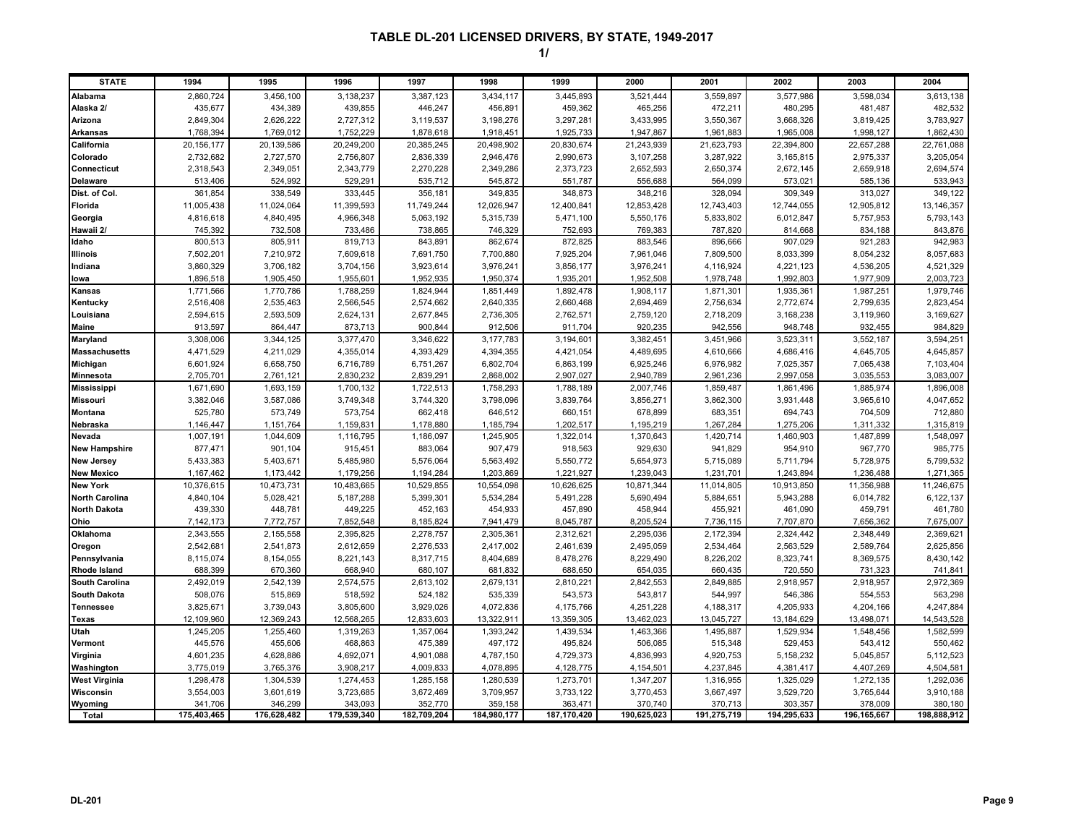| <b>STATE</b>          | 1994        | 1995        | 1996        | 1997        | 1998        | 1999        | 2000        | 2001        | 2002        | 2003        | 2004        |
|-----------------------|-------------|-------------|-------------|-------------|-------------|-------------|-------------|-------------|-------------|-------------|-------------|
| Alabama               | 2,860,724   | 3,456,100   | 3,138,237   | 3,387,123   | 3,434,117   | 3,445,893   | 3,521,444   | 3,559,897   | 3,577,986   | 3,598,034   | 3,613,138   |
| Alaska 2/             | 435,677     | 434,389     | 439,855     | 446,247     | 456,891     | 459,362     | 465,256     | 472,211     | 480,295     | 481,487     | 482,532     |
| Arizona               | 2,849,304   | 2,626,222   | 2,727,312   | 3,119,537   | 3,198,276   | 3,297,281   | 3,433,995   | 3,550,367   | 3,668,326   | 3,819,425   | 3,783,927   |
| <b>Arkansas</b>       | 1,768,394   | 1,769,012   | 1,752,229   | 1,878,618   | 1,918,451   | 1,925,733   | 1,947,867   | 1,961,883   | 1,965,008   | 1,998,127   | 1,862,430   |
| California            | 20,156,177  | 20,139,586  | 20,249,200  | 20,385,245  | 20,498,902  | 20,830,674  | 21,243,939  | 21,623,793  | 22,394,800  | 22,657,288  | 22,761,088  |
| Colorado              | 2,732,682   | 2,727,570   | 2,756,807   | 2,836,339   | 2,946,476   | 2,990,673   | 3,107,258   | 3,287,922   | 3,165,815   | 2,975,337   | 3,205,054   |
| Connecticut           | 2,318,543   | 2,349,051   | 2,343,779   | 2,270,228   | 2,349,286   | 2,373,723   | 2,652,593   | 2,650,374   | 2,672,145   | 2,659,918   | 2,694,574   |
| <b>Delaware</b>       | 513,406     | 524,992     | 529,291     | 535,712     | 545,872     | 551,787     | 556,688     | 564,099     | 573,021     | 585,136     | 533,943     |
| Dist. of Col.         | 361,854     | 338,549     | 333,445     | 356,181     | 349,835     | 348,873     | 348,216     | 328,094     | 309,349     | 313,027     | 349,122     |
| Florida               | 11,005,438  | 11,024,064  | 11,399,593  | 11,749,244  | 12,026,947  | 12,400,841  | 12,853,428  | 12,743,403  | 12,744,055  | 12,905,812  | 13,146,357  |
| Georgia               | 4,816,618   | 4,840,495   | 4,966,348   | 5,063,192   | 5,315,739   | 5,471,100   | 5,550,176   | 5,833,802   | 6,012,847   | 5,757,953   | 5,793,143   |
| Hawaii 2/             | 745,392     | 732,508     | 733,486     | 738,865     | 746,329     | 752,693     | 769,383     | 787,820     | 814,668     | 834,188     | 843,876     |
| Idaho                 | 800,513     | 805,911     | 819,713     | 843,891     | 862,674     | 872,825     | 883,546     | 896,666     | 907,029     | 921,283     | 942,983     |
| Illinois              | 7,502,201   | 7,210,972   | 7,609,618   | 7,691,750   | 7,700,880   | 7,925,204   | 7,961,046   | 7,809,500   | 8,033,399   | 8,054,232   | 8,057,683   |
| Indiana               | 3,860,329   | 3,706,182   | 3,704,156   | 3,923,614   | 3,976,241   | 3,856,177   | 3,976,241   | 4,116,924   | 4,221,123   | 4,536,205   | 4,521,329   |
| lowa                  | 1,896,518   | 1,905,450   | 1,955,601   | 1,952,935   | 1,950,374   | 1,935,201   | 1,952,508   | 1,978,748   | 1,992,803   | 1,977,909   | 2,003,723   |
| Kansas                | 1,771,566   | 1,770,786   | 1,788,259   | 1,824,944   | 1,851,449   | 1,892,478   | 1,908,117   | 1,871,301   | 1,935,361   | 1,987,251   | 1,979,746   |
| Kentucky              | 2,516,408   | 2,535,463   | 2,566,545   | 2,574,662   | 2,640,335   | 2,660,468   | 2,694,469   | 2,756,634   | 2,772,674   | 2,799,635   | 2,823,454   |
| Louisiana             | 2,594,615   | 2,593,509   | 2,624,131   | 2,677,845   | 2,736,305   | 2,762,571   | 2,759,120   | 2,718,209   | 3,168,238   | 3,119,960   | 3,169,627   |
| Maine                 | 913,597     | 864,447     | 873,713     | 900,844     | 912,506     | 911,704     | 920,235     | 942,556     | 948,748     | 932,455     | 984,829     |
| Maryland              | 3,308,006   | 3,344,125   | 3,377,470   | 3,346,622   | 3,177,783   | 3,194,601   | 3,382,451   | 3,451,966   | 3,523,311   | 3,552,187   | 3,594,251   |
| <b>Massachusetts</b>  | 4,471,529   | 4,211,029   | 4,355,014   | 4,393,429   | 4,394,355   | 4,421,054   | 4,489,695   | 4,610,666   | 4,686,416   | 4,645,705   | 4,645,857   |
| Michigan              | 6,601,924   | 6,658,750   | 6,716,789   | 6,751,267   | 6,802,704   | 6,863,199   | 6,925,246   | 6,976,982   | 7,025,357   | 7,065,438   | 7,103,404   |
| Minnesota             | 2,705,701   | 2,761,121   | 2,830,232   | 2,839,291   | 2,868,002   | 2,907,027   | 2,940,789   | 2,961,236   | 2,997,058   | 3,035,553   | 3,083,007   |
| <b>Mississippi</b>    | 1,671,690   | 1,693,159   | 1,700,132   | 1,722,513   | 1,758,293   | 1,788,189   | 2,007,746   | 1,859,487   | 1,861,496   | 1,885,974   | 1,896,008   |
| <b>Missouri</b>       | 3,382,046   | 3,587,086   | 3,749,348   | 3,744,320   | 3,798,096   | 3,839,764   | 3,856,271   | 3,862,300   | 3,931,448   | 3,965,610   | 4,047,652   |
| Montana               | 525,780     | 573,749     | 573,754     | 662,418     | 646,512     | 660,151     | 678,899     | 683,351     | 694,743     | 704,509     | 712,880     |
| Nebraska              | 1,146,447   | 1,151,764   | 1,159,831   | 1,178,880   | 1,185,794   | 1,202,517   | 1,195,219   | 1,267,284   | 1,275,206   | 1,311,332   | 1,315,819   |
| Nevada                | 1,007,191   | 1,044,609   | 1,116,795   | 1,186,097   | 1,245,905   | 1,322,014   | 1,370,643   | 1,420,714   | 1,460,903   | 1,487,899   | 1,548,097   |
| <b>New Hampshire</b>  | 877,471     | 901,104     | 915,451     | 883,064     | 907,479     | 918,563     | 929,630     | 941,829     | 954,910     | 967,770     | 985,775     |
| <b>New Jersey</b>     | 5,433,383   | 5,403,671   | 5,485,980   | 5,576,064   | 5,563,492   | 5,550,772   | 5,654,973   | 5,715,089   | 5,711,794   | 5,728,975   | 5,799,532   |
| <b>New Mexico</b>     | 1,167,462   | 1,173,442   | 1,179,256   | 1,194,284   | 1,203,869   | 1,221,927   | 1,239,043   | 1,231,701   | 1,243,894   | 1,236,488   | 1,271,365   |
| <b>New York</b>       | 10,376,615  | 10,473,731  | 10,483,665  | 10,529,855  | 10,554,098  | 10,626,625  | 10,871,344  | 11,014,805  | 10,913,850  | 11,356,988  | 11,246,675  |
| <b>North Carolina</b> | 4,840,104   | 5,028,421   | 5,187,288   | 5,399,301   | 5,534,284   | 5,491,228   | 5,690,494   | 5,884,651   | 5,943,288   | 6,014,782   | 6,122,137   |
| <b>North Dakota</b>   | 439,330     | 448,781     | 449,225     | 452,163     | 454,933     | 457,890     | 458,944     | 455,921     | 461,090     | 459,791     | 461,780     |
| Ohio                  | 7,142,173   | 7,772,757   | 7,852,548   | 8,185,824   | 7,941,479   | 8,045,787   | 8,205,524   | 7,736,115   | 7,707,870   | 7,656,362   | 7,675,007   |
| Oklahoma              | 2,343,555   | 2,155,558   | 2,395,825   | 2,278,757   | 2,305,361   | 2,312,621   | 2,295,036   | 2,172,394   | 2,324,442   | 2,348,449   | 2,369,621   |
| Oregon                | 2,542,681   | 2,541,873   | 2,612,659   | 2,276,533   | 2,417,002   | 2,461,639   | 2,495,059   | 2,534,464   | 2,563,529   | 2,589,764   | 2,625,856   |
| Pennsylvania          | 8,115,074   | 8,154,055   | 8,221,143   | 8,317,715   | 8,404,689   | 8,478,276   | 8,229,490   | 8,226,202   | 8,323,741   | 8,369,575   | 8,430,142   |
| <b>Rhode Island</b>   | 688,399     | 670,360     | 668,940     | 680,107     | 681,832     | 688,650     | 654,035     | 660,435     | 720,550     | 731,323     | 741,841     |
| <b>South Carolina</b> | 2,492,019   | 2,542,139   | 2,574,575   | 2,613,102   | 2,679,131   | 2,810,221   | 2,842,553   | 2,849,885   | 2,918,957   | 2,918,957   | 2,972,369   |
| <b>South Dakota</b>   | 508,076     | 515,869     | 518,592     | 524,182     | 535,339     | 543,573     | 543,817     | 544,997     | 546,386     | 554,553     | 563,298     |
| <b>Tennessee</b>      | 3,825,671   | 3,739,043   | 3,805,600   | 3,929,026   | 4,072,836   | 4,175,766   | 4,251,228   | 4,188,317   | 4,205,933   | 4,204,166   | 4,247,884   |
| Texas                 | 12,109,960  | 12,369,243  | 12,568,265  | 12,833,603  | 13,322,911  | 13,359,305  | 13,462,023  | 13,045,727  | 13,184,629  | 13,498,071  | 14,543,528  |
| Utah                  | 1,245,205   | 1,255,460   | 1,319,263   | 1,357,064   | 1,393,242   | 1,439,534   | 1,463,366   | 1,495,887   | 1,529,934   | 1,548,456   | 1,582,599   |
| Vermont               | 445,576     | 455,606     | 468,863     | 475,389     | 497,172     | 495,824     | 506,085     | 515,348     | 529,453     | 543,412     | 550,462     |
| Virginia              | 4,601,235   | 4,628,886   | 4,692,071   | 4,901,088   | 4,787,150   | 4,729,373   | 4,836,993   | 4,920,753   | 5,158,232   | 5,045,857   | 5,112,523   |
| Washington            | 3,775,019   | 3,765,376   | 3,908,217   | 4,009,833   | 4,078,895   | 4,128,775   | 4,154,501   | 4,237,845   | 4,381,417   | 4,407,269   | 4,504,581   |
| <b>West Virginia</b>  | 1,298,478   | 1,304,539   | 1,274,453   | 1,285,158   | 1,280,539   | 1,273,701   | 1,347,207   | 1,316,955   | 1,325,029   | 1,272,135   | 1,292,036   |
| Wisconsin             | 3,554,003   | 3,601,619   | 3,723,685   | 3,672,469   | 3,709,957   | 3,733,122   | 3,770,453   | 3,667,497   | 3,529,720   | 3,765,644   | 3,910,188   |
| Wyoming               | 341,706     | 346,299     | 343,093     | 352,770     | 359,158     | 363,471     | 370,740     | 370,713     | 303,357     | 378,009     | 380,180     |
| Total                 | 175,403,465 | 176,628,482 | 179,539,340 | 182,709,204 | 184,980,177 | 187,170,420 | 190,625,023 | 191,275,719 | 194,295,633 | 196,165,667 | 198,888,912 |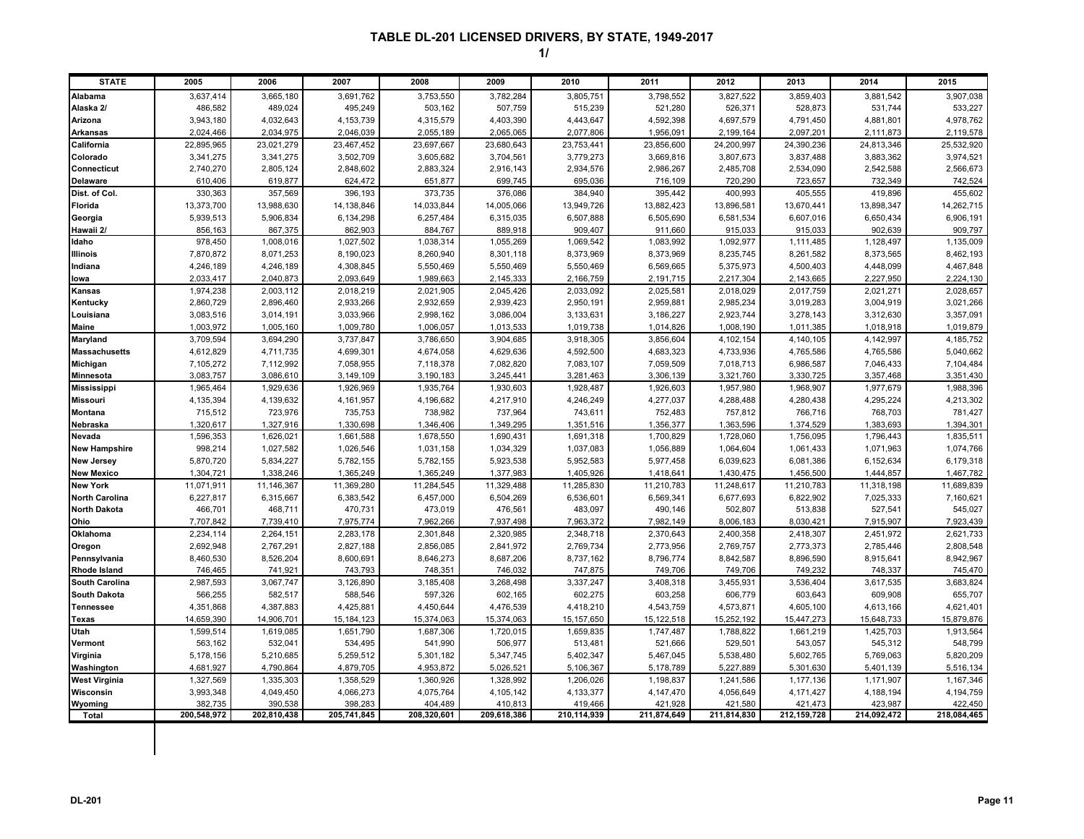| <b>STATE</b>          | 2005        | 2006        | 2007        | 2008        | 2009        | 2010         | 2011        | 2012        | 2013          | 2014        | 2015        |
|-----------------------|-------------|-------------|-------------|-------------|-------------|--------------|-------------|-------------|---------------|-------------|-------------|
| Alabama               | 3,637,414   | 3,665,180   | 3,691,762   | 3,753,550   | 3,782,284   | 3,805,751    | 3,798,552   | 3.827.522   | 3.859.403     | 3,881,542   | 3,907,038   |
| Alaska 2/             | 486,582     | 489,024     | 495,249     | 503,162     | 507,759     | 515,239      | 521,280     | 526,371     | 528,873       | 531,744     | 533,227     |
| Arizona               | 3,943,180   | 4,032,643   | 4,153,739   | 4,315,579   | 4,403,390   | 4,443,647    | 4,592,398   | 4,697,579   | 4,791,450     | 4,881,801   | 4,978,762   |
| <b>Arkansas</b>       | 2,024,466   | 2,034,975   | 2,046,039   | 2,055,189   | 2,065,065   | 2,077,806    | 1,956,09    | 2,199,164   | 2,097,201     | 2,111,873   | 2,119,578   |
| California            | 22,895,965  | 23,021,279  | 23,467,452  | 23,697,667  | 23,680,643  | 23,753,441   | 23,856,600  | 24,200,997  | 24,390,236    | 24,813,346  | 25,532,920  |
| Colorado              | 3,341,275   | 3,341,275   | 3,502,709   | 3,605,682   | 3,704,561   | 3,779,273    | 3,669,816   | 3,807,673   | 3,837,488     | 3,883,362   | 3,974,521   |
| Connecticut           | 2,740,270   | 2,805,124   | 2,848,602   | 2,883,324   | 2,916,143   | 2,934,576    | 2,986,267   | 2,485,708   | 2,534,090     | 2,542,588   | 2,566,673   |
| Delaware              | 610,406     | 619,877     | 624,472     | 651,877     | 699,745     | 695,036      | 716,109     | 720,290     | 723,657       | 732,349     | 742,524     |
| Dist. of Col.         | 330,363     | 357,569     | 396,193     | 373,735     | 376,086     | 384,940      | 395,442     | 400,993     | 405,555       | 419,896     | 455,602     |
| <b>Florida</b>        | 13,373,700  | 13,988,630  | 14,138,846  | 14,033,844  | 14,005,066  | 13,949,726   | 13,882,423  | 13,896,581  | 13,670,441    | 13,898,347  | 14,262,715  |
| Georgia               | 5,939,513   | 5,906,834   | 6,134,298   | 6,257,484   | 6,315,035   | 6,507,888    | 6,505,690   | 6,581,534   | 6,607,016     | 6,650,434   | 6,906,191   |
| Hawaii 2/             | 856,163     | 867,375     | 862,903     | 884,767     | 889,918     | 909,407      | 911,660     | 915,033     | 915,033       | 902,639     | 909,797     |
| Idaho                 | 978,450     | 1,008,016   | 1,027,502   | 1,038,314   | 1,055,269   | 1,069,542    | 1,083,992   | 1,092,977   | 1,111,485     | 1,128,497   | 1,135,009   |
| <b>Illinois</b>       | 7,870,872   | 8,071,253   | 8,190,023   | 8,260,940   | 8,301,118   | 8,373,969    | 8,373,969   | 8,235,745   | 8,261,582     | 8,373,565   | 8,462,193   |
| Indiana               | 4,246,189   | 4,246,189   | 4,308,845   | 5,550,469   | 5,550,469   | 5,550,469    | 6,569,665   | 5,375,973   | 4,500,403     | 4,448,099   | 4,467,848   |
| lowa                  | 2,033,417   | 2,040,873   | 2,093,649   | 1,989,663   | 2,145,333   | 2,166,759    | 2,191,715   | 2,217,304   | 2,143,665     | 2,227,950   | 2,224,130   |
| Kansas                | 1,974,238   | 2,003,112   | 2,018,219   | 2,021,905   | 2,045,426   | 2,033,092    | 2,025,581   | 2,018,029   | 2,017,759     | 2,021,271   | 2,028,657   |
| Kentucky              | 2,860,729   | 2,896,460   | 2,933,266   | 2,932,659   | 2,939,423   | 2,950,191    | 2,959,881   | 2,985,234   | 3,019,283     | 3,004,919   | 3,021,266   |
| Louisiana             | 3,083,516   | 3,014,191   | 3,033,966   | 2,998,162   | 3,086,004   | 3,133,631    | 3,186,227   | 2,923,744   | 3,278,143     | 3,312,630   | 3,357,091   |
| <b>Maine</b>          | 1,003,972   | 1,005,160   | 1,009,780   | 1,006,057   | 1,013,533   | 1,019,738    | 1,014,826   | 1,008,190   | 1,011,385     | 1,018,918   | 1,019,879   |
| Maryland              | 3,709,594   | 3,694,290   | 3,737,847   | 3,786,650   | 3,904,685   | 3,918,305    | 3,856,604   | 4,102,154   | 4,140,105     | 4,142,997   | 4,185,752   |
| <b>Massachusetts</b>  | 4,612,829   | 4,711,735   | 4,699,301   | 4,674,058   | 4,629,636   | 4,592,500    | 4,683,323   | 4,733,936   | 4,765,586     | 4,765,586   | 5,040,662   |
| Michigan              | 7,105,272   | 7,112,992   | 7,058,955   | 7,118,378   | 7,082,820   | 7,083,107    | 7,059,509   | 7,018,713   | 6,986,587     | 7,046,433   | 7,104,484   |
| <b>Minnesota</b>      | 3,083,757   | 3,086,610   | 3,149,109   | 3,190,183   | 3,245,441   | 3,281,463    | 3,306,139   | 3,321,760   | 3,330,725     | 3,357,468   | 3,351,430   |
| <b>Mississippi</b>    | 1,965,464   | 1,929,636   | 1,926,969   | 1,935,764   | 1,930,603   | 1,928,487    | 1,926,603   | 1,957,980   | 1,968,907     | 1,977,679   | 1,988,396   |
| <b>Missouri</b>       | 4,135,394   | 4,139,632   | 4,161,957   | 4,196,682   | 4,217,910   | 4,246,249    | 4,277,037   | 4,288,488   | 4,280,438     | 4,295,224   | 4,213,302   |
| <b>Montana</b>        | 715,512     | 723,976     | 735,753     | 738,982     | 737,964     | 743,611      | 752,483     | 757,812     | 766,716       | 768,703     | 781,427     |
| Nebraska              | 1,320,617   | 1,327,916   | 1,330,698   | 1,346,406   | 1,349,295   | 1,351,516    | 1,356,377   | 1,363,596   | 1,374,529     | 1,383,693   | 1,394,301   |
| Nevada                | 1,596,353   | 1,626,021   | 1,661,588   | 1,678,550   | 1,690,431   | 1,691,318    | 1,700,829   | 1,728,060   | 1,756,095     | 1,796,443   | 1,835,511   |
| <b>New Hampshire</b>  | 998,214     | 1,027,582   | 1,026,546   | 1,031,158   | 1,034,329   | 1,037,083    | 1,056,889   | 1,064,604   | 1,061,433     | 1,071,963   | 1,074,766   |
| <b>New Jersey</b>     | 5,870,720   | 5,834,227   | 5,782,155   | 5,782,155   | 5,923,538   | 5,952,583    | 5,977,458   | 6,039,623   | 6,081,386     | 6,152,634   | 6,179,318   |
| <b>New Mexico</b>     | 1,304,721   | 1,338,246   | 1,365,249   | 1,365,249   | 1,377,983   | 1,405,926    | 1,418,64    | 1,430,475   | 1,456,500     | 1,444,857   | 1,467,782   |
| <b>New York</b>       | 11,071,911  | 11,146,367  | 11,369,280  | 11,284,545  | 11,329,488  | 11,285,830   | 11,210,783  | 11,248,617  | 11,210,783    | 11,318,198  | 11,689,839  |
| <b>North Carolina</b> | 6,227,817   | 6,315,667   | 6,383,542   | 6,457,000   | 6,504,269   | 6,536,601    | 6,569,341   | 6,677,693   | 6,822,902     | 7,025,333   | 7,160,621   |
| <b>North Dakota</b>   | 466,701     | 468,711     | 470,731     | 473,019     | 476,561     | 483,097      | 490,146     | 502,807     | 513,838       | 527,541     | 545,027     |
| Ohio                  | 7.707.842   | 7,739,410   | 7,975,774   | 7,962,266   | 7,937,498   | 7,963,372    | 7,982,149   | 8,006,183   | 8,030,421     | 7,915,907   | 7,923,439   |
| Oklahoma              | 2,234,114   | 2,264,151   | 2,283,178   | 2,301,848   | 2,320,985   | 2,348,718    | 2,370,643   | 2,400,358   | 2,418,307     | 2,451,972   | 2,621,733   |
| Oregon                | 2,692,948   | 2,767,291   | 2,827,188   | 2,856,085   | 2,841,972   | 2,769,734    | 2,773,956   | 2,769,757   | 2,773,373     | 2,785,446   | 2,808,548   |
| Pennsylvania          | 8,460,530   | 8,526,204   | 8,600,691   | 8,646,273   | 8,687,206   | 8,737,162    | 8,796,774   | 8,842,587   | 8,896,590     | 8,915,641   | 8,942,967   |
| <b>Rhode Island</b>   | 746,465     | 741,921     | 743,793     | 748,351     | 746,032     | 747,875      | 749,706     | 749,706     | 749,232       | 748,337     | 745,470     |
| <b>South Carolina</b> | 2,987,593   | 3,067,747   | 3,126,890   | 3,185,408   | 3,268,498   | 3,337,247    | 3,408,318   | 3,455,931   | 3,536,404     | 3,617,535   | 3,683,824   |
| <b>South Dakota</b>   | 566,255     | 582,517     | 588,546     | 597,326     | 602,165     | 602,275      | 603,258     | 606,779     | 603,643       | 609,908     | 655,707     |
| Tennessee             | 4,351,868   | 4,387,883   | 4,425,881   | 4,450,644   | 4,476,539   | 4,418,210    | 4,543,759   | 4,573,871   | 4,605,100     | 4,613,166   | 4,621,401   |
| Texas                 | 14,659,390  | 14,906,701  | 15,184,123  | 15,374,063  | 15,374,063  | 15, 157, 650 | 15,122,518  | 15,252,192  | 15,447,273    | 15,648,733  | 15,879,876  |
| Utah                  | 1,599,514   | 1,619,085   | 1,651,790   | 1,687,306   | 1,720,015   | 1,659,835    | 1,747,487   | 1,788,822   | 1,661,219     | 1,425,703   | 1,913,564   |
| Vermont               | 563,162     | 532,041     | 534,495     | 541,990     | 506,977     | 513,481      | 521,666     | 529,501     | 543,057       | 545,312     | 548,799     |
| Virginia              | 5,178,156   | 5,210,685   | 5,259,512   | 5,301,182   | 5,347,745   | 5,402,347    | 5,467,045   | 5,538,480   | 5,602,765     | 5,769,063   | 5,820,209   |
| Washington            | 4,681,927   | 4,790,864   | 4,879,705   | 4,953,872   | 5,026,521   | 5,106,367    | 5,178,789   | 5,227,889   | 5,301,630     | 5,401,139   | 5,516,134   |
| <b>West Virginia</b>  | 1,327,569   | 1,335,303   | 1,358,529   | 1,360,926   | 1,328,992   | 1,206,026    | 1,198,837   | 1,241,586   | 1,177,136     | 1,171,907   | 1,167,346   |
| Wisconsin             | 3,993,348   | 4,049,450   | 4,066,273   | 4,075,764   | 4,105,142   | 4,133,377    | 4,147,470   | 4,056,649   | 4,171,427     | 4,188,194   | 4,194,759   |
| Wyoming               | 382,735     | 390,538     | 398,283     | 404,489     | 410,813     | 419,466      | 421,928     | 421,580     | 421,473       | 423,987     | 422,450     |
| Total                 | 200,548,972 | 202,810,438 | 205,741,845 | 208,320,601 | 209,618,386 | 210,114,939  | 211,874,649 | 211,814,830 | 212, 159, 728 | 214,092,472 | 218,084,465 |